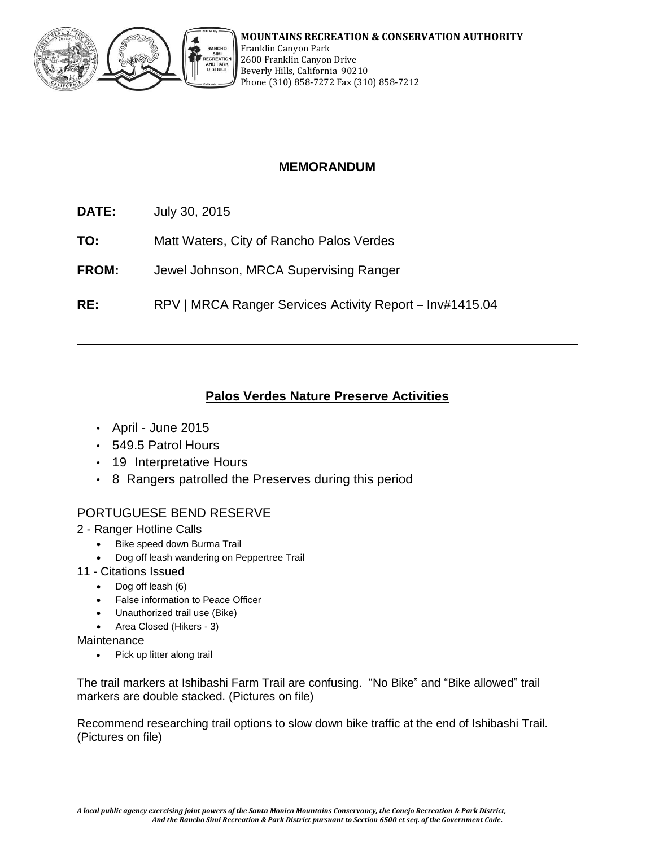

# **MEMORANDUM**

- **DATE:** July 30, 2015
- **TO:** Matt Waters, City of Rancho Palos Verdes
- **FROM:** Jewel Johnson, MRCA Supervising Ranger
- **RE:** RPV | MRCA Ranger Services Activity Report Inv#1415.04

# **Palos Verdes Nature Preserve Activities**

- April June 2015
- 549.5 Patrol Hours
- 19 Interpretative Hours
- 8 Rangers patrolled the Preserves during this period

### PORTUGUESE BEND RESERVE

- 2 Ranger Hotline Calls
	- Bike speed down Burma Trail
	- Dog off leash wandering on Peppertree Trail
- 11 Citations Issued
	- Dog off leash (6)
	- False information to Peace Officer
	- Unauthorized trail use (Bike)
	- Area Closed (Hikers 3)

**Maintenance** 

• Pick up litter along trail

The trail markers at Ishibashi Farm Trail are confusing. "No Bike" and "Bike allowed" trail markers are double stacked. (Pictures on file)

Recommend researching trail options to slow down bike traffic at the end of Ishibashi Trail. (Pictures on file)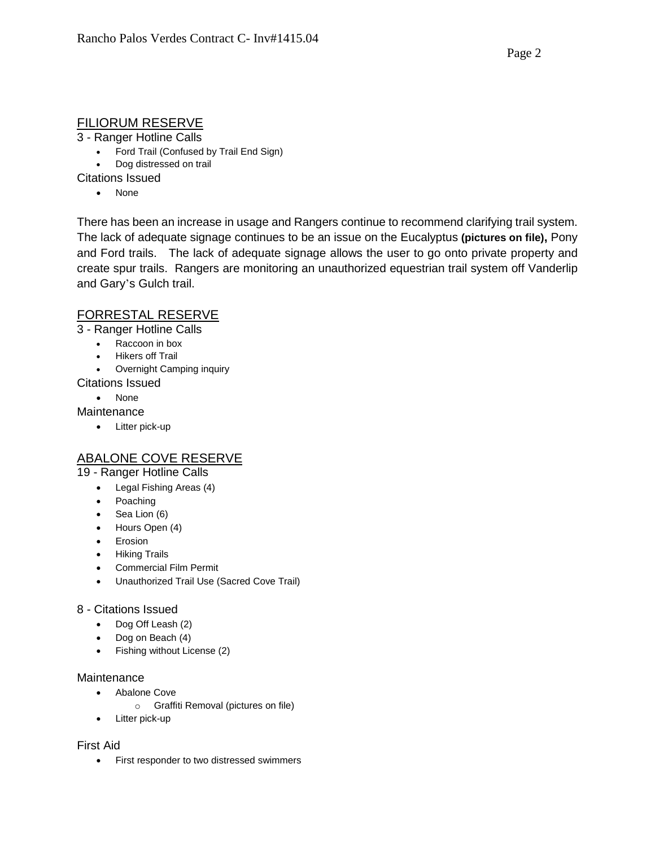# FILIORUM RESERVE

3 - Ranger Hotline Calls

- Ford Trail (Confused by Trail End Sign)
- Dog distressed on trail

Citations Issued

• None

There has been an increase in usage and Rangers continue to recommend clarifying trail system. The lack of adequate signage continues to be an issue on the Eucalyptus **(pictures on file),** Pony and Ford trails. The lack of adequate signage allows the user to go onto private property and create spur trails. Rangers are monitoring an unauthorized equestrian trail system off Vanderlip and Gary's Gulch trail.

### FORRESTAL RESERVE

3 - Ranger Hotline Calls

- Raccoon in box
- Hikers off Trail
- Overnight Camping inquiry
- Citations Issued
	- None

**Maintenance** 

• Litter pick-up

# ABALONE COVE RESERVE

19 - Ranger Hotline Calls

- Legal Fishing Areas (4)
- Poaching
- $\bullet$  Sea Lion (6)
- Hours Open (4)
- Erosion
- **•** Hiking Trails
- Commercial Film Permit
- Unauthorized Trail Use (Sacred Cove Trail)

#### 8 - Citations Issued

- Dog Off Leash (2)
- Dog on Beach (4)
- Fishing without License (2)

#### **Maintenance**

- Abalone Cove
	- o Graffiti Removal (pictures on file)
- Litter pick-up

#### First Aid

First responder to two distressed swimmers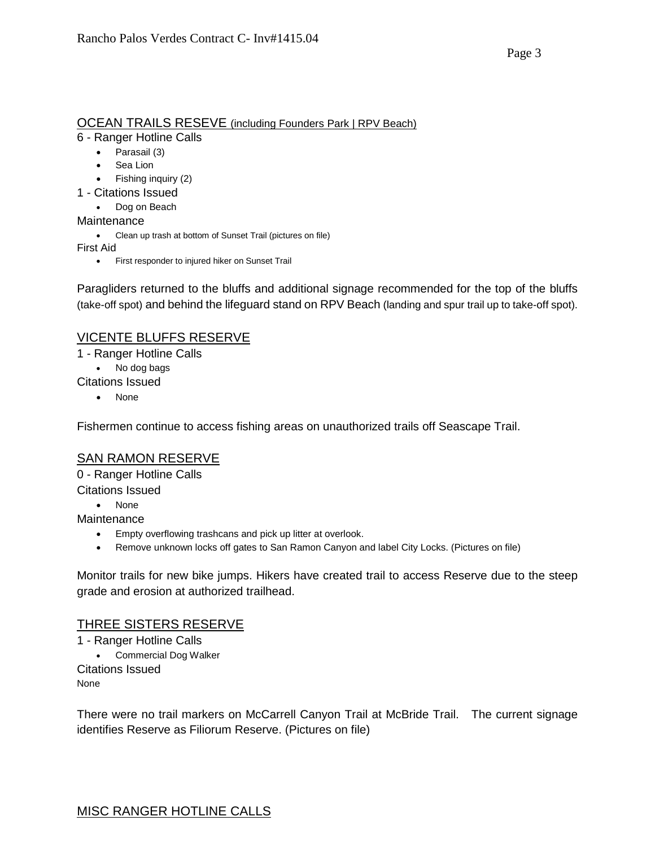### OCEAN TRAILS RESEVE (including Founders Park | RPV Beach)

6 - Ranger Hotline Calls

- Parasail (3)
- Sea Lion
- Fishing inquiry (2)
- 1 Citations Issued
	- Dog on Beach
- Maintenance
	- Clean up trash at bottom of Sunset Trail (pictures on file)

First Aid

• First responder to injured hiker on Sunset Trail

Paragliders returned to the bluffs and additional signage recommended for the top of the bluffs (take-off spot) and behind the lifeguard stand on RPV Beach (landing and spur trail up to take-off spot).

# VICENTE BLUFFS RESERVE

1 - Ranger Hotline Calls

No dog bags

Citations Issued

None

Fishermen continue to access fishing areas on unauthorized trails off Seascape Trail.

# SAN RAMON RESERVE

0 - Ranger Hotline Calls Citations Issued

• None

**Maintenance** 

- Empty overflowing trashcans and pick up litter at overlook.
- Remove unknown locks off gates to San Ramon Canyon and label City Locks. (Pictures on file)

Monitor trails for new bike jumps. Hikers have created trail to access Reserve due to the steep grade and erosion at authorized trailhead.

# THREE SISTERS RESERVE

1 - Ranger Hotline Calls Commercial Dog Walker Citations Issued None

There were no trail markers on McCarrell Canyon Trail at McBride Trail. The current signage identifies Reserve as Filiorum Reserve. (Pictures on file)